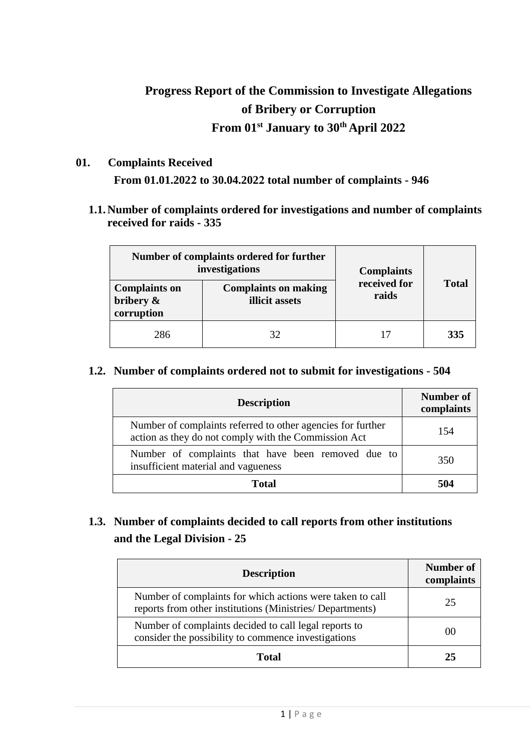# **Progress Report of the Commission to Investigate Allegations of Bribery or Corruption From 01st January to 30 th April 2022**

**01. Complaints Received**

**From 01.01.2022 to 30.04.2022 total number of complaints - 946**

**1.1.Number of complaints ordered for investigations and number of complaints received for raids - 335**

| Number of complaints ordered for further<br>investigations |                                               | <b>Complaints</b>     |              |
|------------------------------------------------------------|-----------------------------------------------|-----------------------|--------------|
| <b>Complaints on</b><br>bribery &<br>corruption            | <b>Complaints on making</b><br>illicit assets | received for<br>raids | <b>Total</b> |
| 286                                                        | 32                                            |                       | 335          |

#### **1.2. Number of complaints ordered not to submit for investigations - 504**

| <b>Description</b>                                                                                                  | <b>Number of</b><br>complaints |
|---------------------------------------------------------------------------------------------------------------------|--------------------------------|
| Number of complaints referred to other agencies for further<br>action as they do not comply with the Commission Act | 154                            |
| Number of complaints that have been removed due to<br>insufficient material and vagueness                           | 350                            |
| Total                                                                                                               | 504                            |

### **1.3. Number of complaints decided to call reports from other institutions and the Legal Division - 25**

| <b>Description</b>                                                                                                     | Number of<br>complaints |
|------------------------------------------------------------------------------------------------------------------------|-------------------------|
| Number of complaints for which actions were taken to call<br>reports from other institutions (Ministries/ Departments) | 25                      |
| Number of complaints decided to call legal reports to<br>consider the possibility to commence investigations           | $($ )()                 |
| Total                                                                                                                  | 25                      |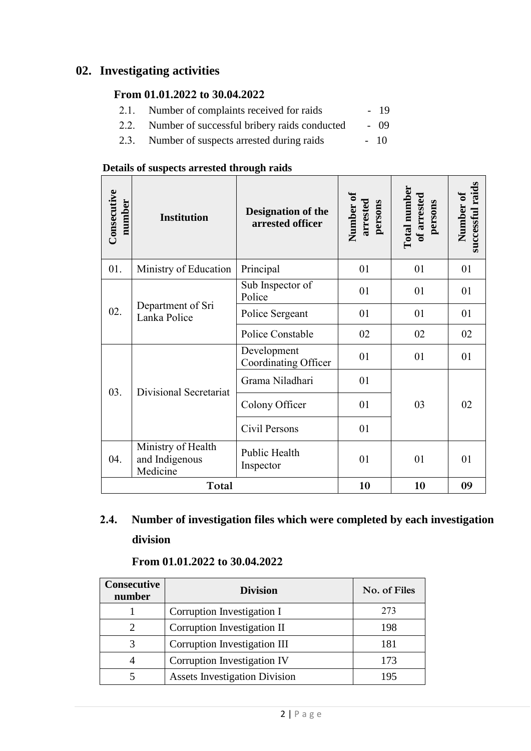### **02. Investigating activities**

### **From 01.01.2022 to 30.04.2022**

- 2.1. Number of complaints received for raids 19
- 2.2. Number of successful bribery raids conducted 09
- 2.3. Number of suspects arrested during raids 10

#### **Details of suspects arrested through raids**

| Consecutive<br>number | <b>Institution</b>                               | <b>Designation of the</b><br>arrested officer | Number of<br>arrested<br>persons | Total number<br>of arrested<br>persons | successful raids<br>Number of |
|-----------------------|--------------------------------------------------|-----------------------------------------------|----------------------------------|----------------------------------------|-------------------------------|
| 01.                   | Ministry of Education                            | Principal                                     | 01                               | 01                                     | 01                            |
| 02.                   | Department of Sri<br>Lanka Police                | Sub Inspector of<br>Police                    | 01                               | 01                                     | 01                            |
|                       |                                                  | Police Sergeant                               | 01                               | 01                                     | 01                            |
|                       |                                                  | Police Constable                              | 02                               | 02                                     | 02                            |
| 03.                   | Divisional Secretariat                           | Development<br>Coordinating Officer           | 01                               | 01                                     | 01                            |
|                       |                                                  | Grama Niladhari                               | 01                               |                                        |                               |
|                       |                                                  | Colony Officer                                | 01                               | 03                                     | 02                            |
|                       |                                                  | Civil Persons                                 | 01                               |                                        |                               |
| 04.                   | Ministry of Health<br>and Indigenous<br>Medicine | Public Health<br>Inspector                    | 01                               | 01                                     | 01                            |
|                       | Total                                            |                                               | 10                               | 10                                     | 09                            |

## **2.4. Number of investigation files which were completed by each investigation division**

## **From 01.01.2022 to 30.04.2022**

| <b>Consecutive</b><br>number | <b>Division</b>                      | No. of Files |
|------------------------------|--------------------------------------|--------------|
|                              | Corruption Investigation I           | 273          |
|                              | Corruption Investigation II          | 198          |
|                              | Corruption Investigation III         | 181          |
|                              | Corruption Investigation IV          | 173          |
|                              | <b>Assets Investigation Division</b> | 195          |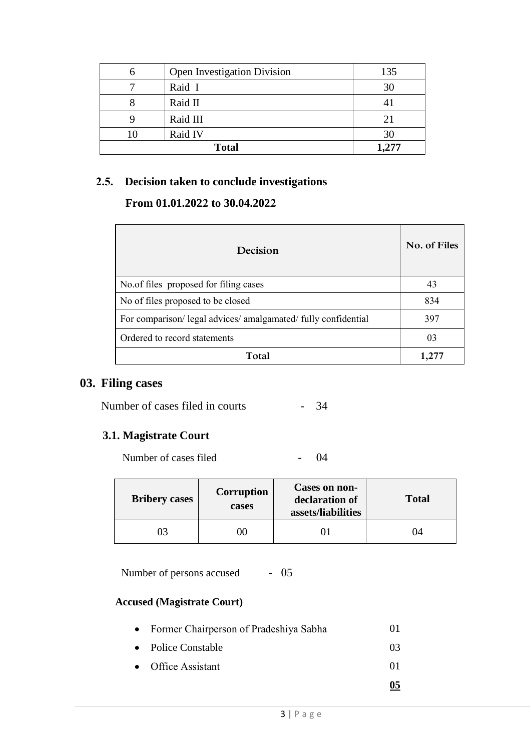| <b>Open Investigation Division</b> | 135   |
|------------------------------------|-------|
| Raid I                             | 30    |
| Raid II                            | 41    |
| Raid III                           | 21    |
| Raid IV                            | 30    |
| <b>Total</b>                       | 1,277 |

#### **2.5. Decision taken to conclude investigations**

#### **From 01.01.2022 to 30.04.2022**

| Decision                                                    | No. of Files |
|-------------------------------------------------------------|--------------|
| No. of files proposed for filing cases                      | 43           |
| No of files proposed to be closed                           | 834          |
| For comparison/legal advices/amalgamated/fully confidential | 397          |
| Ordered to record statements                                | 03           |
| Total                                                       |              |

## **03. Filing cases**

Number of cases filed in courts - 34

### **3.1. Magistrate Court**

Number of cases filed - 04

| <b>Bribery cases</b> | Corruption<br>cases | Cases on non-<br>declaration of<br>assets/liabilities | <b>Total</b> |
|----------------------|---------------------|-------------------------------------------------------|--------------|
|                      | K)                  |                                                       | 74           |

Number of persons accused - 05

#### **Accused (Magistrate Court)**

| • Former Chairperson of Pradeshiya Sabha | 01 |
|------------------------------------------|----|
|                                          |    |

- Police Constable 03
- Office Assistant 01
	-

**05**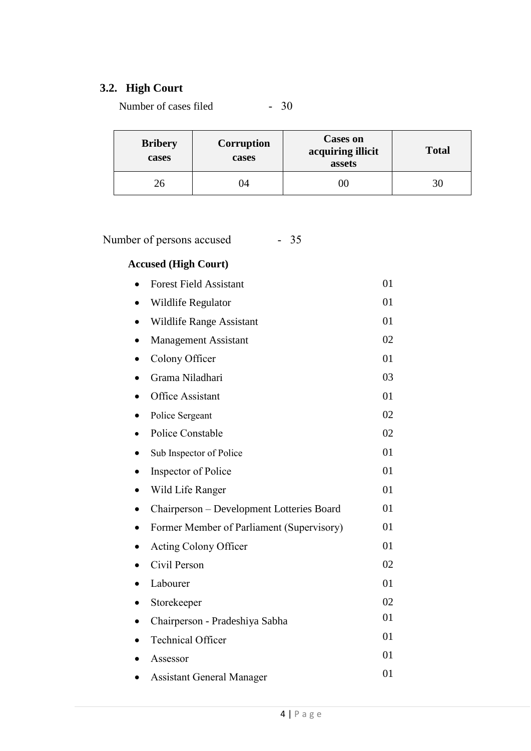## **3.2. High Court**

Number of cases filed - 30

| <b>Bribery</b><br>cases | <b>Corruption</b><br>cases | <b>Cases on</b><br>acquiring illicit<br>assets | <b>Total</b> |
|-------------------------|----------------------------|------------------------------------------------|--------------|
|                         | I4                         |                                                | 3U           |

Number of persons accused - 35

# **Accused (High Court)**

|           | Accusea (High Court)                      |    |
|-----------|-------------------------------------------|----|
|           | <b>Forest Field Assistant</b>             | 01 |
| $\bullet$ | <b>Wildlife Regulator</b>                 | 01 |
|           | Wildlife Range Assistant                  | 01 |
| $\bullet$ | <b>Management Assistant</b>               | 02 |
| ٠         | Colony Officer                            | 01 |
|           | Grama Niladhari                           | 03 |
|           | <b>Office Assistant</b>                   | 01 |
|           | Police Sergeant                           | 02 |
|           | Police Constable                          | 02 |
|           | Sub Inspector of Police                   | 01 |
| $\bullet$ | Inspector of Police                       | 01 |
|           | Wild Life Ranger                          | 01 |
|           | Chairperson - Development Lotteries Board | 01 |
|           | Former Member of Parliament (Supervisory) | 01 |
|           | Acting Colony Officer                     | 01 |
|           | Civil Person                              | 02 |
|           | Labourer                                  | 01 |
|           | Storekeeper                               | 02 |
|           | Chairperson - Pradeshiya Sabha            | 01 |
|           | <b>Technical Officer</b>                  | 01 |
|           | Assessor                                  | 01 |
|           | <b>Assistant General Manager</b>          | 01 |
|           |                                           |    |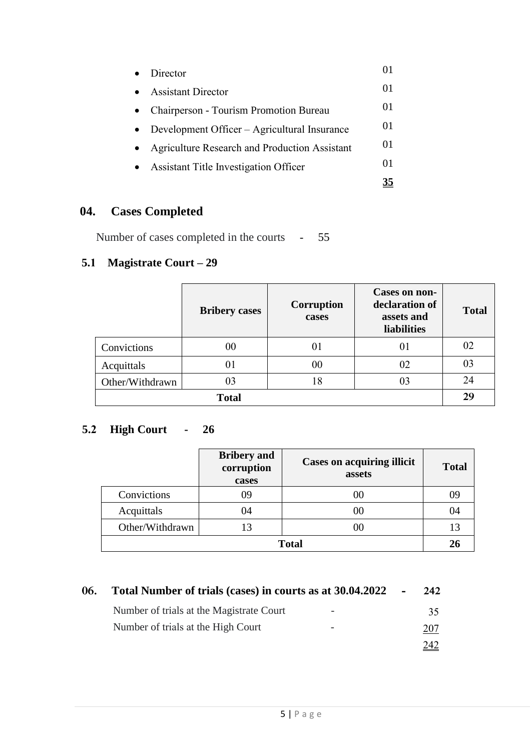| Director                                      |    |
|-----------------------------------------------|----|
| <b>Assistant Director</b>                     | 01 |
| Chairperson - Tourism Promotion Bureau        | 01 |
| Development Officer – Agricultural Insurance  | 01 |
| Agriculture Research and Production Assistant | 01 |
| <b>Assistant Title Investigation Officer</b>  | 01 |
|                                               |    |

# **04. Cases Completed**

Number of cases completed in the courts - 55

## **5.1 Magistrate Court – 29**

|                 | <b>Bribery cases</b> | <b>Corruption</b><br>cases | Cases on non-<br>declaration of<br>assets and<br><b>liabilities</b> | <b>Total</b> |
|-----------------|----------------------|----------------------------|---------------------------------------------------------------------|--------------|
| Convictions     | 00                   | 01                         | 01                                                                  | 02           |
| Acquittals      | 01                   | 00                         | 02                                                                  | 03           |
| Other/Withdrawn | 03                   | 18                         | 03                                                                  | 24           |
| <b>Total</b>    |                      |                            |                                                                     | 29           |

# **5.2 High Court - 26**

|                 | <b>Bribery</b> and<br>corruption<br>cases | <b>Cases on acquiring illicit</b><br>assets | <b>Total</b> |
|-----------------|-------------------------------------------|---------------------------------------------|--------------|
| Convictions     | 79                                        | 00                                          |              |
| Acquittals      | 04                                        | 00                                          | 04           |
| Other/Withdrawn |                                           | 00                                          |              |
| <b>Total</b>    |                                           |                                             |              |

| 06. | Total Number of trials (cases) in courts as at 30.04.2022 - |                          | 242 |
|-----|-------------------------------------------------------------|--------------------------|-----|
|     | Number of trials at the Magistrate Court                    | $\overline{\phantom{0}}$ | 35  |
|     | Number of trials at the High Court                          | -                        | 207 |
|     |                                                             |                          | 247 |